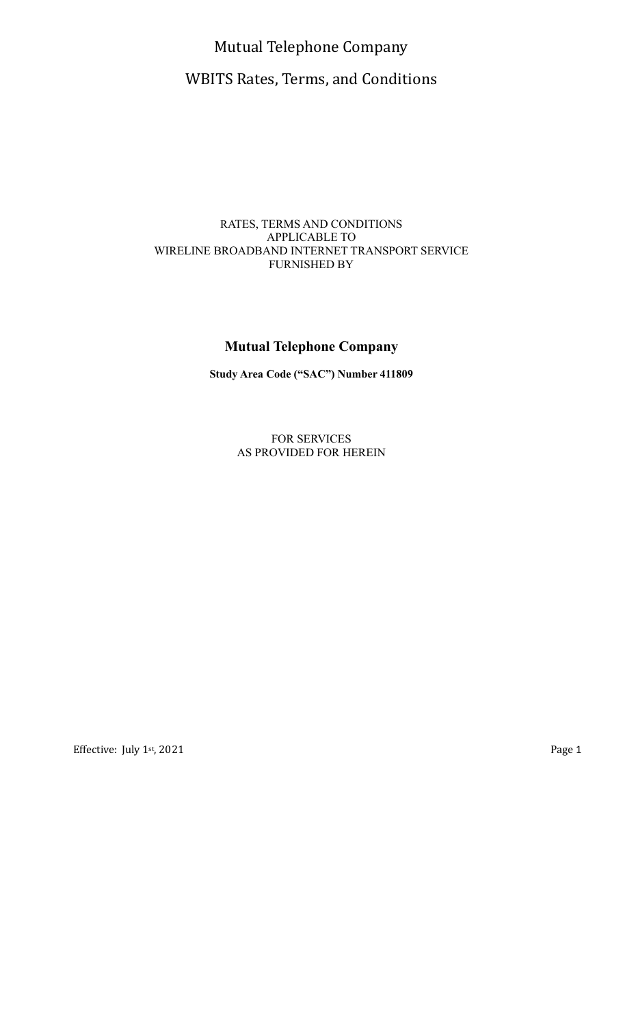Mutual Telephone Company WBITS Rates, Terms, and Conditions

### RATES, TERMS AND CONDITIONS APPLICABLE TO WIRELINE BROADBAND INTERNET TRANSPORT SERVICE FURNISHED BY

# **Mutual Telephone Company**

**Study Area Code ("SAC") Number 411809**

FOR SERVICES AS PROVIDED FOR HEREIN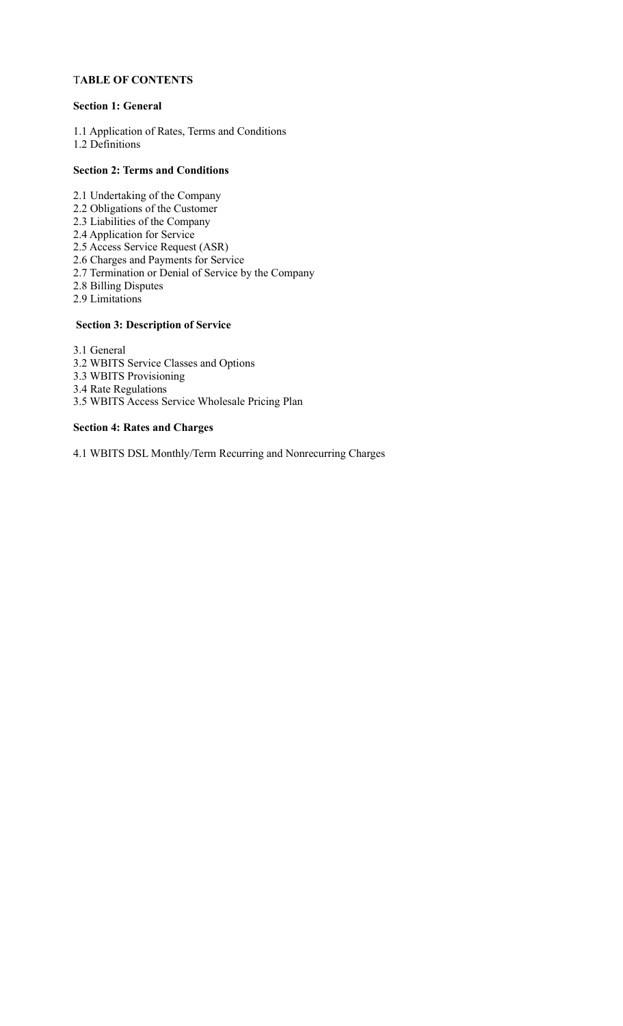### T**ABLE OF CONTENTS**

#### **Section 1: General**

1.1 Application of Rates, Terms and Conditions 1.2 Definitions

#### **Section 2: Terms and Conditions**

- 2.1 Undertaking of the Company
- 2.2 Obligations of the Customer
- 2.3 Liabilities of the Company
- 2.4 Application for Service
- 2.5 Access Service Request (ASR)
- 2.6 Charges and Payments for Service
- 2.7 Termination or Denial of Service by the Company
- 2.8 Billing Disputes
- 2.9 Limitations

#### **Section 3: Description of Service**

3.1 General

- 3.2 WBITS Service Classes and Options
- 3.3 WBITS Provisioning
- 3.4 Rate Regulations
- 3.5 WBITS Access Service Wholesale Pricing Plan

#### **Section 4: Rates and Charges**

4.1 WBITS DSL Monthly/Term Recurring and Nonrecurring Charges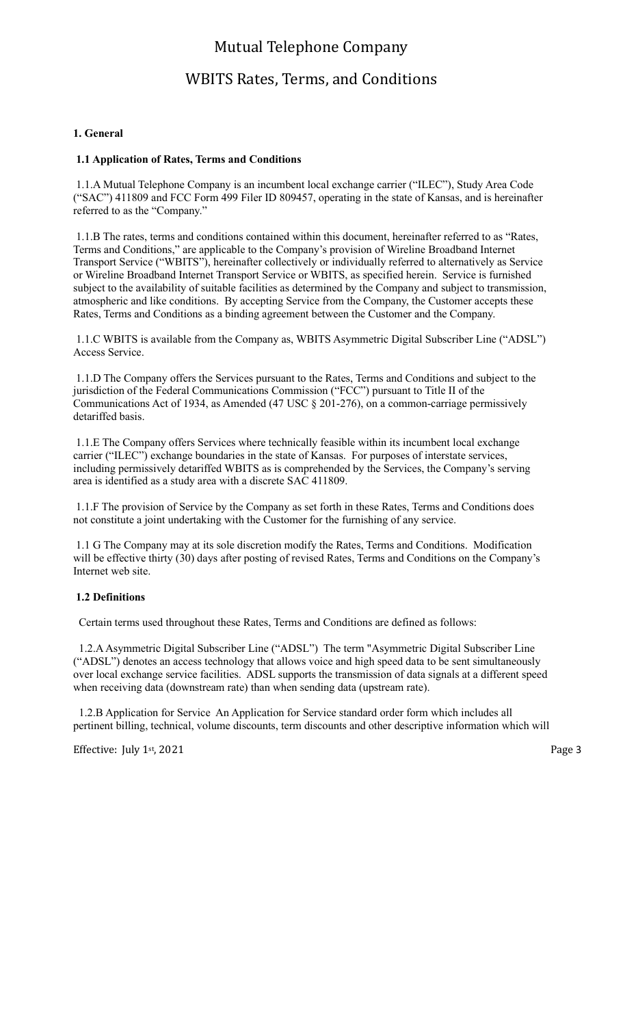## WBITS Rates, Terms, and Conditions

#### **1. General**

#### **1.1 Application of Rates, Terms and Conditions**

 1.1.A Mutual Telephone Company is an incumbent local exchange carrier ("ILEC"), Study Area Code ("SAC") 411809 and FCC Form 499 Filer ID 809457, operating in the state of Kansas, and is hereinafter referred to as the "Company."

 1.1.B The rates, terms and conditions contained within this document, hereinafter referred to as "Rates, Terms and Conditions," are applicable to the Company's provision of Wireline Broadband Internet Transport Service ("WBITS"), hereinafter collectively or individually referred to alternatively as Service or Wireline Broadband Internet Transport Service or WBITS, as specified herein. Service is furnished subject to the availability of suitable facilities as determined by the Company and subject to transmission, atmospheric and like conditions. By accepting Service from the Company, the Customer accepts these Rates, Terms and Conditions as a binding agreement between the Customer and the Company.

 1.1.C WBITS is available from the Company as, WBITS Asymmetric Digital Subscriber Line ("ADSL") Access Service.

 1.1.D The Company offers the Services pursuant to the Rates, Terms and Conditions and subject to the jurisdiction of the Federal Communications Commission ("FCC") pursuant to Title II of the Communications Act of 1934, as Amended (47 USC  $\S 201-276$ ), on a common-carriage permissively detariffed basis.

 1.1.E The Company offers Services where technically feasible within its incumbent local exchange carrier ("ILEC") exchange boundaries in the state of Kansas. For purposes of interstate services, including permissively detariffed WBITS as is comprehended by the Services, the Company's serving area is identified as a study area with a discrete SAC 411809.

 1.1.F The provision of Service by the Company as set forth in these Rates, Terms and Conditions does not constitute a joint undertaking with the Customer for the furnishing of any service.

 1.1 G The Company may at its sole discretion modify the Rates, Terms and Conditions. Modification will be effective thirty (30) days after posting of revised Rates, Terms and Conditions on the Company's Internet web site.

#### **1.2 Definitions**

Certain terms used throughout these Rates, Terms and Conditions are defined as follows:

 1.2.A Asymmetric Digital Subscriber Line ("ADSL") The term "Asymmetric Digital Subscriber Line ("ADSL") denotes an access technology that allows voice and high speed data to be sent simultaneously over local exchange service facilities. ADSL supports the transmission of data signals at a different speed when receiving data (downstream rate) than when sending data (upstream rate).

 1.2.B Application for Service An Application for Service standard order form which includes all pertinent billing, technical, volume discounts, term discounts and other descriptive information which will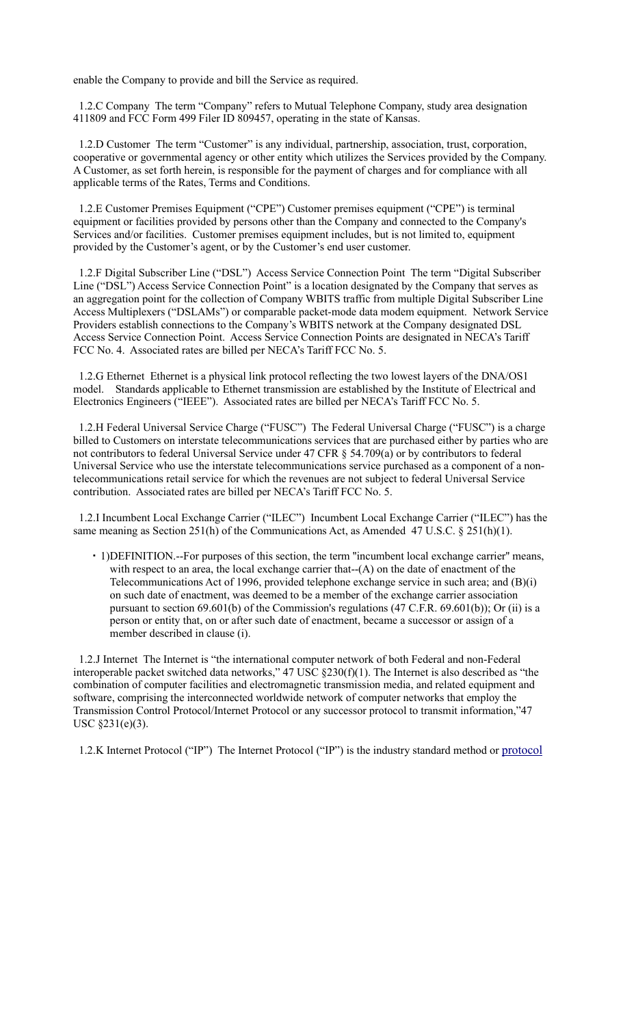enable the Company to provide and bill the Service as required.

 1.2.C Company The term "Company" refers to Mutual Telephone Company, study area designation 411809 and FCC Form 499 Filer ID 809457, operating in the state of Kansas.

 1.2.D Customer The term "Customer" is any individual, partnership, association, trust, corporation, cooperative or governmental agency or other entity which utilizes the Services provided by the Company. A Customer, as set forth herein, is responsible for the payment of charges and for compliance with all applicable terms of the Rates, Terms and Conditions.

 1.2.E Customer Premises Equipment ("CPE") Customer premises equipment ("CPE") is terminal equipment or facilities provided by persons other than the Company and connected to the Company's Services and/or facilities. Customer premises equipment includes, but is not limited to, equipment provided by the Customer's agent, or by the Customer's end user customer.

 1.2.F Digital Subscriber Line ("DSL") Access Service Connection Point The term "Digital Subscriber Line ("DSL") Access Service Connection Point" is a location designated by the Company that serves as an aggregation point for the collection of Company WBITS traffic from multiple Digital Subscriber Line Access Multiplexers ("DSLAMs") or comparable packet-mode data modem equipment. Network Service Providers establish connections to the Company's WBITS network at the Company designated DSL Access Service Connection Point. Access Service Connection Points are designated in NECA's Tariff FCC No. 4. Associated rates are billed per NECA's Tariff FCC No. 5.

 1.2.G Ethernet Ethernet is a physical link protocol reflecting the two lowest layers of the DNA/OS1 model. Standards applicable to Ethernet transmission are established by the Institute of Electrical and Electronics Engineers ("IEEE"). Associated rates are billed per NECA's Tariff FCC No. 5.

 1.2.H Federal Universal Service Charge ("FUSC") The Federal Universal Charge ("FUSC") is a charge billed to Customers on interstate telecommunications services that are purchased either by parties who are not contributors to federal Universal Service under 47 CFR § 54.709(a) or by contributors to federal Universal Service who use the interstate telecommunications service purchased as a component of a nontelecommunications retail service for which the revenues are not subject to federal Universal Service contribution. Associated rates are billed per NECA's Tariff FCC No. 5.

 1.2.I Incumbent Local Exchange Carrier ("ILEC") Incumbent Local Exchange Carrier ("ILEC") has the same meaning as Section 251(h) of the Communications Act, as Amended 47 U.S.C. § 251(h)(1).

 1)DEFINITION.--For purposes of this section, the term ''incumbent local exchange carrier'' means, with respect to an area, the local exchange carrier that--(A) on the date of enactment of the Telecommunications Act of 1996, provided telephone exchange service in such area; and (B)(i) on such date of enactment, was deemed to be a member of the exchange carrier association pursuant to section 69.601(b) of the Commission's regulations (47 C.F.R. 69.601(b)); Or (ii) is a person or entity that, on or after such date of enactment, became a successor or assign of a member described in clause (i).

 1.2.J Internet The Internet is "the international computer network of both Federal and non-Federal interoperable packet switched data networks," 47 USC  $\S 230(f)(1)$ . The Internet is also described as "the combination of computer facilities and electromagnetic transmission media, and related equipment and software, comprising the interconnected worldwide network of computer networks that employ the Transmission Control Protocol/Internet Protocol or any successor protocol to transmit information,"47 USC §231(e)(3).

1.2.K Internet Protocol ("IP") The Internet Protocol ("IP") is the industry standard method or protocol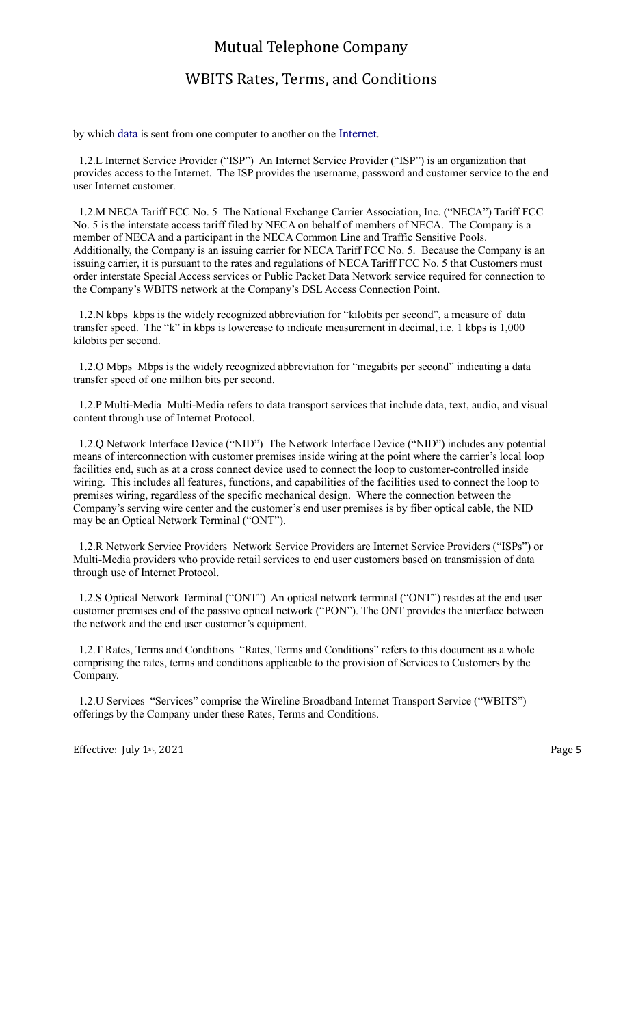### WBITS Rates, Terms, and Conditions

by which data is sent from one computer to another on the Internet.

 1.2.L Internet Service Provider ("ISP") An Internet Service Provider ("ISP") is an organization that provides access to the Internet. The ISP provides the username, password and customer service to the end user Internet customer.

 1.2.M NECA Tariff FCC No. 5 The National Exchange Carrier Association, Inc. ("NECA") Tariff FCC No. 5 is the interstate access tariff filed by NECA on behalf of members of NECA. The Company is a member of NECA and a participant in the NECA Common Line and Traffic Sensitive Pools. Additionally, the Company is an issuing carrier for NECA Tariff FCC No. 5. Because the Company is an issuing carrier, it is pursuant to the rates and regulations of NECA Tariff FCC No. 5 that Customers must order interstate Special Access services or Public Packet Data Network service required for connection to the Company's WBITS network at the Company's DSL Access Connection Point.

 1.2.N kbps kbps is the widely recognized abbreviation for "kilobits per second", a measure of data transfer speed. The "k" in kbps is lowercase to indicate measurement in decimal, i.e. 1 kbps is 1,000 kilobits per second.

 1.2.O Mbps Mbps is the widely recognized abbreviation for "megabits per second" indicating a data transfer speed of one million bits per second.

 1.2.P Multi-Media Multi-Media refers to data transport services that include data, text, audio, and visual content through use of Internet Protocol.

 1.2.Q Network Interface Device ("NID") The Network Interface Device ("NID") includes any potential means of interconnection with customer premises inside wiring at the point where the carrier's local loop facilities end, such as at a cross connect device used to connect the loop to customer-controlled inside wiring. This includes all features, functions, and capabilities of the facilities used to connect the loop to premises wiring, regardless of the specific mechanical design. Where the connection between the Company's serving wire center and the customer's end user premises is by fiber optical cable, the NID may be an Optical Network Terminal ("ONT").

 1.2.R Network Service Providers Network Service Providers are Internet Service Providers ("ISPs") or Multi-Media providers who provide retail services to end user customers based on transmission of data through use of Internet Protocol.

 1.2.S Optical Network Terminal ("ONT") An optical network terminal ("ONT") resides at the end user customer premises end of the passive optical network ("PON"). The ONT provides the interface between the network and the end user customer's equipment.

 1.2.T Rates, Terms and Conditions "Rates, Terms and Conditions" refers to this document as a whole comprising the rates, terms and conditions applicable to the provision of Services to Customers by the Company.

 1.2.U Services "Services" comprise the Wireline Broadband Internet Transport Service ("WBITS") offerings by the Company under these Rates, Terms and Conditions.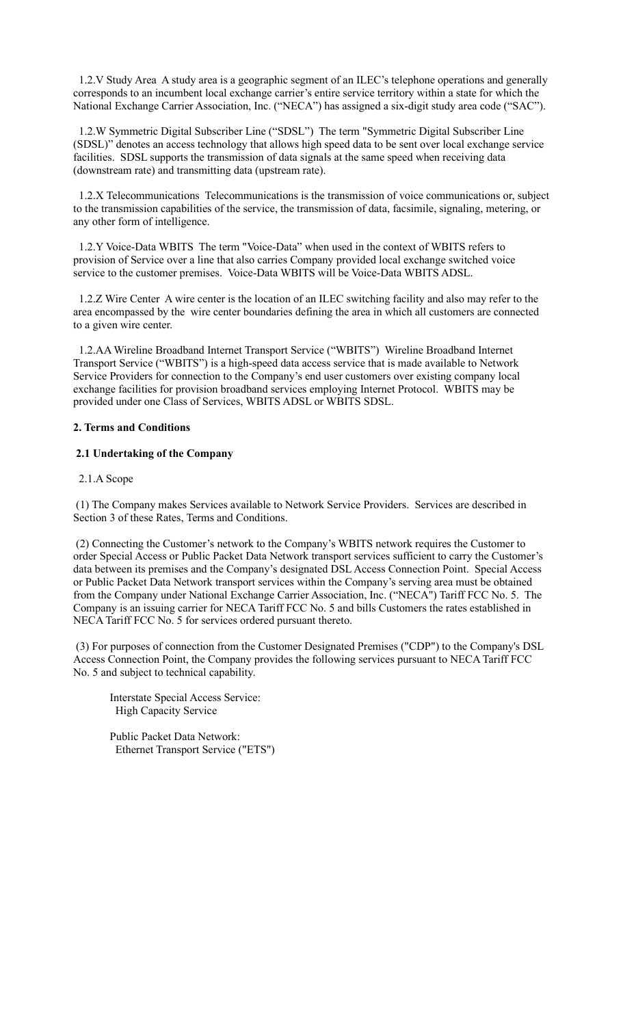1.2.V Study Area A study area is a geographic segment of an ILEC's telephone operations and generally corresponds to an incumbent local exchange carrier's entire service territory within a state for which the National Exchange Carrier Association, Inc. ("NECA") has assigned a six-digit study area code ("SAC").

 1.2.W Symmetric Digital Subscriber Line ("SDSL") The term "Symmetric Digital Subscriber Line (SDSL)" denotes an access technology that allows high speed data to be sent over local exchange service facilities. SDSL supports the transmission of data signals at the same speed when receiving data (downstream rate) and transmitting data (upstream rate).

 1.2.X Telecommunications Telecommunications is the transmission of voice communications or, subject to the transmission capabilities of the service, the transmission of data, facsimile, signaling, metering, or any other form of intelligence.

 1.2.Y Voice-Data WBITS The term "Voice-Data" when used in the context of WBITS refers to provision of Service over a line that also carries Company provided local exchange switched voice service to the customer premises. Voice-Data WBITS will be Voice-Data WBITS ADSL.

 1.2.Z Wire Center A wire center is the location of an ILEC switching facility and also may refer to the area encompassed by the wire center boundaries defining the area in which all customers are connected to a given wire center.

 1.2.AA Wireline Broadband Internet Transport Service ("WBITS") Wireline Broadband Internet Transport Service ("WBITS") is a high-speed data access service that is made available to Network Service Providers for connection to the Company's end user customers over existing company local exchange facilities for provision broadband services employing Internet Protocol. WBITS may be provided under one Class of Services, WBITS ADSL or WBITS SDSL.

#### **2. Terms and Conditions**

#### **2.1 Undertaking of the Company**

#### 2.1.A Scope

 (1) The Company makes Services available to Network Service Providers. Services are described in Section 3 of these Rates, Terms and Conditions.

 (2) Connecting the Customer's network to the Company's WBITS network requires the Customer to order Special Access or Public Packet Data Network transport services sufficient to carry the Customer's data between its premises and the Company's designated DSL Access Connection Point. Special Access or Public Packet Data Network transport services within the Company's serving area must be obtained from the Company under National Exchange Carrier Association, Inc. ("NECA") Tariff FCC No. 5. The Company is an issuing carrier for NECA Tariff FCC No. 5 and bills Customers the rates established in NECA Tariff FCC No. 5 for services ordered pursuant thereto.

 (3) For purposes of connection from the Customer Designated Premises ("CDP") to the Company's DSL Access Connection Point, the Company provides the following services pursuant to NECA Tariff FCC No. 5 and subject to technical capability.

Interstate Special Access Service: High Capacity Service

Public Packet Data Network: Ethernet Transport Service ("ETS")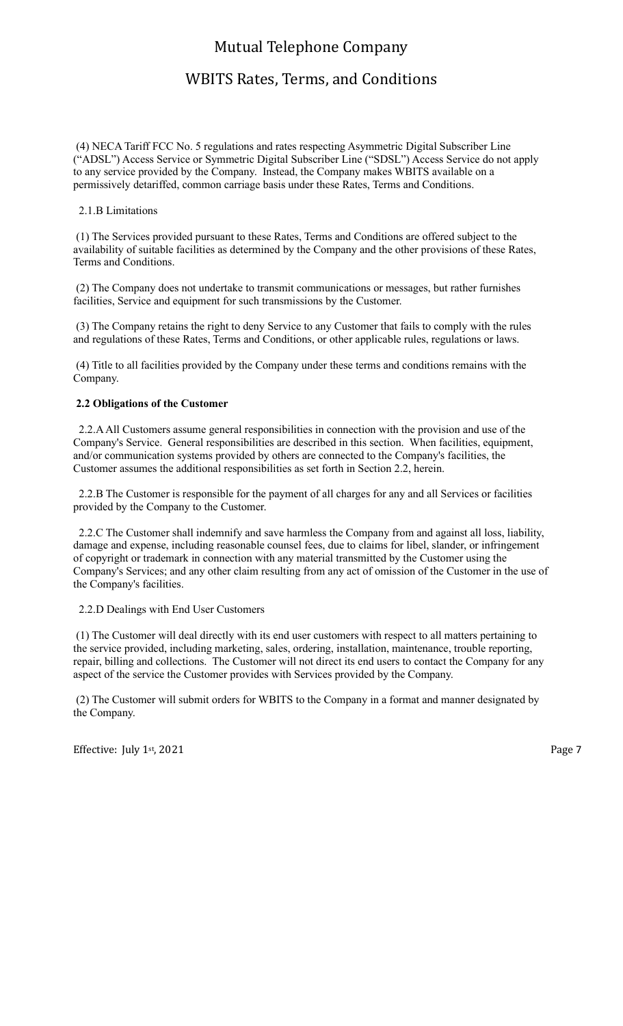## WBITS Rates, Terms, and Conditions

 (4) NECA Tariff FCC No. 5 regulations and rates respecting Asymmetric Digital Subscriber Line ("ADSL") Access Service or Symmetric Digital Subscriber Line ("SDSL") Access Service do not apply to any service provided by the Company. Instead, the Company makes WBITS available on a permissively detariffed, common carriage basis under these Rates, Terms and Conditions.

#### 2.1.B Limitations

 (1) The Services provided pursuant to these Rates, Terms and Conditions are offered subject to the availability of suitable facilities as determined by the Company and the other provisions of these Rates, Terms and Conditions.

 (2) The Company does not undertake to transmit communications or messages, but rather furnishes facilities, Service and equipment for such transmissions by the Customer.

 (3) The Company retains the right to deny Service to any Customer that fails to comply with the rules and regulations of these Rates, Terms and Conditions, or other applicable rules, regulations or laws.

 (4) Title to all facilities provided by the Company under these terms and conditions remains with the Company.

#### **2.2 Obligations of the Customer**

 2.2.A All Customers assume general responsibilities in connection with the provision and use of the Company's Service. General responsibilities are described in this section. When facilities, equipment, and/or communication systems provided by others are connected to the Company's facilities, the Customer assumes the additional responsibilities as set forth in Section 2.2, herein.

 2.2.B The Customer is responsible for the payment of all charges for any and all Services or facilities provided by the Company to the Customer.

 2.2.C The Customer shall indemnify and save harmless the Company from and against all loss, liability, damage and expense, including reasonable counsel fees, due to claims for libel, slander, or infringement of copyright or trademark in connection with any material transmitted by the Customer using the Company's Services; and any other claim resulting from any act of omission of the Customer in the use of the Company's facilities.

#### 2.2.D Dealings with End User Customers

 (1) The Customer will deal directly with its end user customers with respect to all matters pertaining to the service provided, including marketing, sales, ordering, installation, maintenance, trouble reporting, repair, billing and collections. The Customer will not direct its end users to contact the Company for any aspect of the service the Customer provides with Services provided by the Company.

 (2) The Customer will submit orders for WBITS to the Company in a format and manner designated by the Company.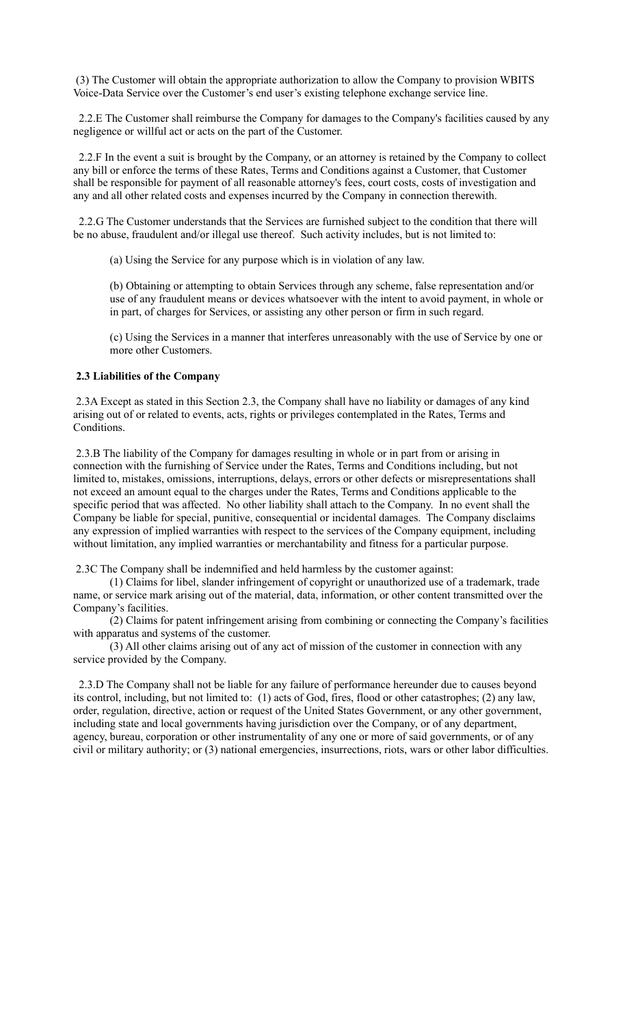(3) The Customer will obtain the appropriate authorization to allow the Company to provision WBITS Voice-Data Service over the Customer's end user's existing telephone exchange service line.

 2.2.E The Customer shall reimburse the Company for damages to the Company's facilities caused by any negligence or willful act or acts on the part of the Customer.

 2.2.F In the event a suit is brought by the Company, or an attorney is retained by the Company to collect any bill or enforce the terms of these Rates, Terms and Conditions against a Customer, that Customer shall be responsible for payment of all reasonable attorney's fees, court costs, costs of investigation and any and all other related costs and expenses incurred by the Company in connection therewith.

 2.2.G The Customer understands that the Services are furnished subject to the condition that there will be no abuse, fraudulent and/or illegal use thereof. Such activity includes, but is not limited to:

(a) Using the Service for any purpose which is in violation of any law.

(b) Obtaining or attempting to obtain Services through any scheme, false representation and/or use of any fraudulent means or devices whatsoever with the intent to avoid payment, in whole or in part, of charges for Services, or assisting any other person or firm in such regard.

(c) Using the Services in a manner that interferes unreasonably with the use of Service by one or more other Customers.

#### **2.3 Liabilities of the Company**

 2.3A Except as stated in this Section 2.3, the Company shall have no liability or damages of any kind arising out of or related to events, acts, rights or privileges contemplated in the Rates, Terms and Conditions.

 2.3.B The liability of the Company for damages resulting in whole or in part from or arising in connection with the furnishing of Service under the Rates, Terms and Conditions including, but not limited to, mistakes, omissions, interruptions, delays, errors or other defects or misrepresentations shall not exceed an amount equal to the charges under the Rates, Terms and Conditions applicable to the specific period that was affected. No other liability shall attach to the Company. In no event shall the Company be liable for special, punitive, consequential or incidental damages. The Company disclaims any expression of implied warranties with respect to the services of the Company equipment, including without limitation, any implied warranties or merchantability and fitness for a particular purpose.

2.3C The Company shall be indemnified and held harmless by the customer against:

 (1) Claims for libel, slander infringement of copyright or unauthorized use of a trademark, trade name, or service mark arising out of the material, data, information, or other content transmitted over the Company's facilities.

 (2) Claims for patent infringement arising from combining or connecting the Company's facilities with apparatus and systems of the customer.

 (3) All other claims arising out of any act of mission of the customer in connection with any service provided by the Company.

 2.3.D The Company shall not be liable for any failure of performance hereunder due to causes beyond its control, including, but not limited to: (1) acts of God, fires, flood or other catastrophes; (2) any law, order, regulation, directive, action or request of the United States Government, or any other government, including state and local governments having jurisdiction over the Company, or of any department, agency, bureau, corporation or other instrumentality of any one or more of said governments, or of any civil or military authority; or (3) national emergencies, insurrections, riots, wars or other labor difficulties.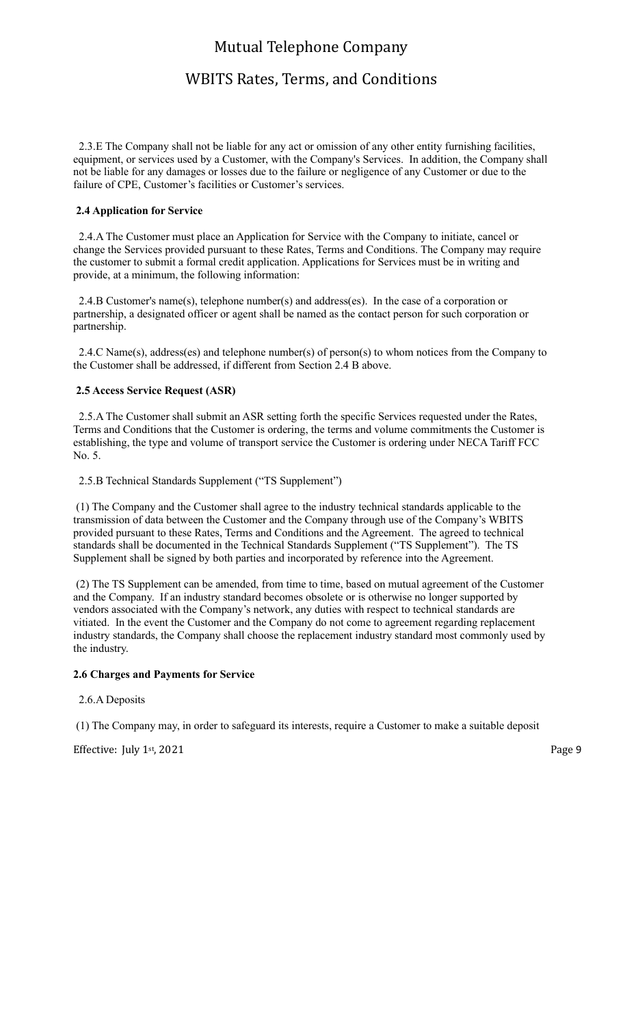## WBITS Rates, Terms, and Conditions

 2.3.E The Company shall not be liable for any act or omission of any other entity furnishing facilities, equipment, or services used by a Customer, with the Company's Services. In addition, the Company shall not be liable for any damages or losses due to the failure or negligence of any Customer or due to the failure of CPE, Customer's facilities or Customer's services.

#### **2.4 Application for Service**

 2.4.A The Customer must place an Application for Service with the Company to initiate, cancel or change the Services provided pursuant to these Rates, Terms and Conditions. The Company may require the customer to submit a formal credit application. Applications for Services must be in writing and provide, at a minimum, the following information:

 2.4.B Customer's name(s), telephone number(s) and address(es). In the case of a corporation or partnership, a designated officer or agent shall be named as the contact person for such corporation or partnership.

 2.4.C Name(s), address(es) and telephone number(s) of person(s) to whom notices from the Company to the Customer shall be addressed, if different from Section 2.4 B above.

#### **2.5 Access Service Request (ASR)**

 2.5.A The Customer shall submit an ASR setting forth the specific Services requested under the Rates, Terms and Conditions that the Customer is ordering, the terms and volume commitments the Customer is establishing, the type and volume of transport service the Customer is ordering under NECA Tariff FCC No. 5.

2.5.B Technical Standards Supplement ("TS Supplement")

 (1) The Company and the Customer shall agree to the industry technical standards applicable to the transmission of data between the Customer and the Company through use of the Company's WBITS provided pursuant to these Rates, Terms and Conditions and the Agreement. The agreed to technical standards shall be documented in the Technical Standards Supplement ("TS Supplement"). The TS Supplement shall be signed by both parties and incorporated by reference into the Agreement.

 (2) The TS Supplement can be amended, from time to time, based on mutual agreement of the Customer and the Company. If an industry standard becomes obsolete or is otherwise no longer supported by vendors associated with the Company's network, any duties with respect to technical standards are vitiated. In the event the Customer and the Company do not come to agreement regarding replacement industry standards, the Company shall choose the replacement industry standard most commonly used by the industry.

#### **2.6 Charges and Payments for Service**

#### 2.6.A Deposits

(1) The Company may, in order to safeguard its interests, require a Customer to make a suitable deposit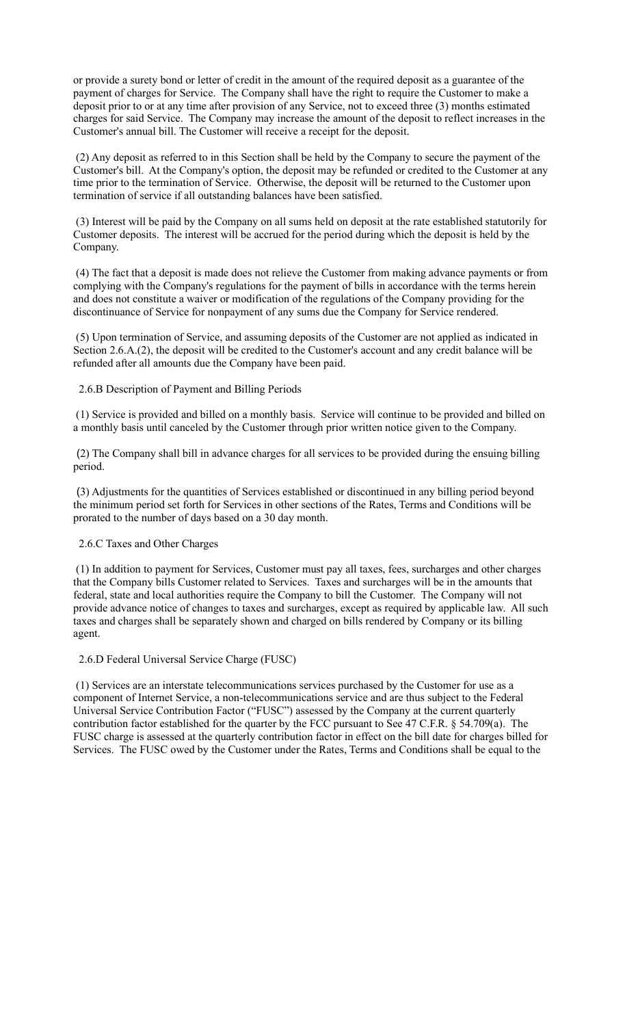or provide a surety bond or letter of credit in the amount of the required deposit as a guarantee of the payment of charges for Service. The Company shall have the right to require the Customer to make a deposit prior to or at any time after provision of any Service, not to exceed three (3) months estimated charges for said Service. The Company may increase the amount of the deposit to reflect increases in the Customer's annual bill. The Customer will receive a receipt for the deposit.

 (2) Any deposit as referred to in this Section shall be held by the Company to secure the payment of the Customer's bill. At the Company's option, the deposit may be refunded or credited to the Customer at any time prior to the termination of Service. Otherwise, the deposit will be returned to the Customer upon termination of service if all outstanding balances have been satisfied.

 (3) Interest will be paid by the Company on all sums held on deposit at the rate established statutorily for Customer deposits. The interest will be accrued for the period during which the deposit is held by the Company.

 (4) The fact that a deposit is made does not relieve the Customer from making advance payments or from complying with the Company's regulations for the payment of bills in accordance with the terms herein and does not constitute a waiver or modification of the regulations of the Company providing for the discontinuance of Service for nonpayment of any sums due the Company for Service rendered.

 (5) Upon termination of Service, and assuming deposits of the Customer are not applied as indicated in Section 2.6.A.(2), the deposit will be credited to the Customer's account and any credit balance will be refunded after all amounts due the Company have been paid.

#### 2.6.B Description of Payment and Billing Periods

 (1) Service is provided and billed on a monthly basis. Service will continue to be provided and billed on a monthly basis until canceled by the Customer through prior written notice given to the Company.

 (2) The Company shall bill in advance charges for all services to be provided during the ensuing billing period.

 (3) Adjustments for the quantities of Services established or discontinued in any billing period beyond the minimum period set forth for Services in other sections of the Rates, Terms and Conditions will be prorated to the number of days based on a 30 day month.

#### 2.6.C Taxes and Other Charges

 (1) In addition to payment for Services, Customer must pay all taxes, fees, surcharges and other charges that the Company bills Customer related to Services. Taxes and surcharges will be in the amounts that federal, state and local authorities require the Company to bill the Customer. The Company will not provide advance notice of changes to taxes and surcharges, except as required by applicable law. All such taxes and charges shall be separately shown and charged on bills rendered by Company or its billing agent.

#### 2.6.D Federal Universal Service Charge (FUSC)

 (1) Services are an interstate telecommunications services purchased by the Customer for use as a component of Internet Service, a non-telecommunications service and are thus subject to the Federal Universal Service Contribution Factor ("FUSC") assessed by the Company at the current quarterly contribution factor established for the quarter by the FCC pursuant to See 47 C.F.R. § 54.709(a). The FUSC charge is assessed at the quarterly contribution factor in effect on the bill date for charges billed for Services. The FUSC owed by the Customer under the Rates, Terms and Conditions shall be equal to the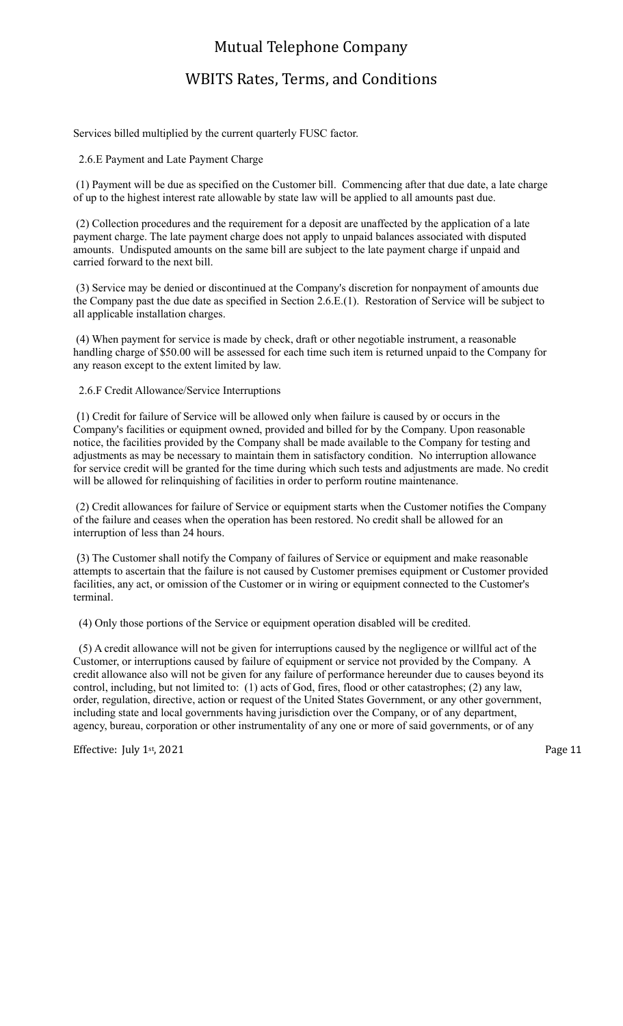## WBITS Rates, Terms, and Conditions

Services billed multiplied by the current quarterly FUSC factor.

2.6.E Payment and Late Payment Charge

 (1) Payment will be due as specified on the Customer bill. Commencing after that due date, a late charge of up to the highest interest rate allowable by state law will be applied to all amounts past due.

 (2) Collection procedures and the requirement for a deposit are unaffected by the application of a late payment charge. The late payment charge does not apply to unpaid balances associated with disputed amounts. Undisputed amounts on the same bill are subject to the late payment charge if unpaid and carried forward to the next bill.

 (3) Service may be denied or discontinued at the Company's discretion for nonpayment of amounts due the Company past the due date as specified in Section 2.6.E.(1). Restoration of Service will be subject to all applicable installation charges.

 (4) When payment for service is made by check, draft or other negotiable instrument, a reasonable handling charge of \$50.00 will be assessed for each time such item is returned unpaid to the Company for any reason except to the extent limited by law.

2.6.F Credit Allowance/Service Interruptions

 (1) Credit for failure of Service will be allowed only when failure is caused by or occurs in the Company's facilities or equipment owned, provided and billed for by the Company. Upon reasonable notice, the facilities provided by the Company shall be made available to the Company for testing and adjustments as may be necessary to maintain them in satisfactory condition. No interruption allowance for service credit will be granted for the time during which such tests and adjustments are made. No credit will be allowed for relinquishing of facilities in order to perform routine maintenance.

 (2) Credit allowances for failure of Service or equipment starts when the Customer notifies the Company of the failure and ceases when the operation has been restored. No credit shall be allowed for an interruption of less than 24 hours.

 (3) The Customer shall notify the Company of failures of Service or equipment and make reasonable attempts to ascertain that the failure is not caused by Customer premises equipment or Customer provided facilities, any act, or omission of the Customer or in wiring or equipment connected to the Customer's terminal.

(4) Only those portions of the Service or equipment operation disabled will be credited.

 (5) A credit allowance will not be given for interruptions caused by the negligence or willful act of the Customer, or interruptions caused by failure of equipment or service not provided by the Company. A credit allowance also will not be given for any failure of performance hereunder due to causes beyond its control, including, but not limited to: (1) acts of God, fires, flood or other catastrophes; (2) any law, order, regulation, directive, action or request of the United States Government, or any other government, including state and local governments having jurisdiction over the Company, or of any department, agency, bureau, corporation or other instrumentality of any one or more of said governments, or of any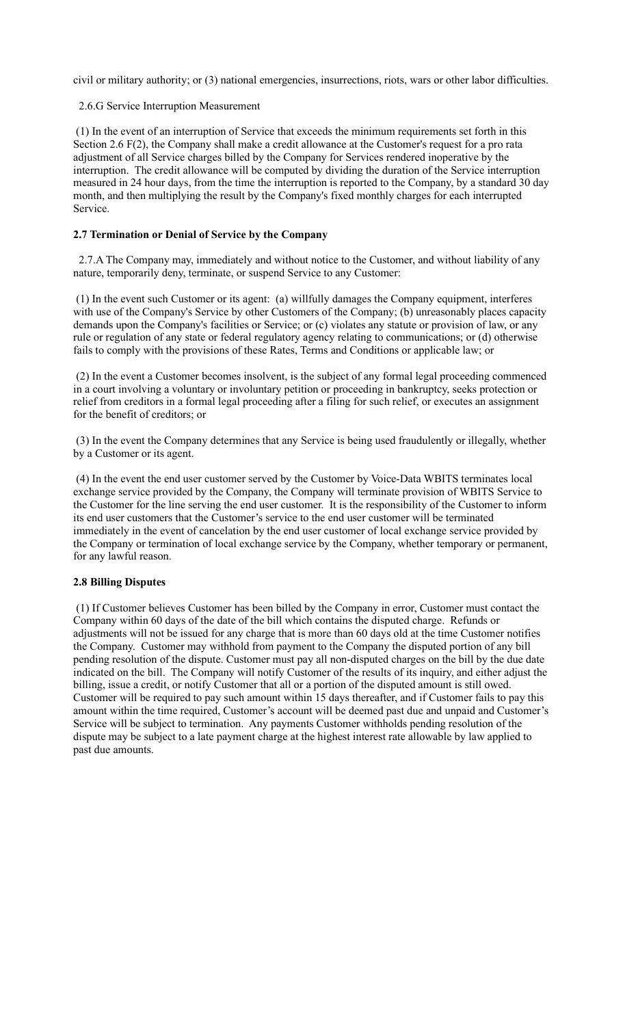civil or military authority; or (3) national emergencies, insurrections, riots, wars or other labor difficulties.

#### 2.6.G Service Interruption Measurement

 (1) In the event of an interruption of Service that exceeds the minimum requirements set forth in this Section 2.6 F(2), the Company shall make a credit allowance at the Customer's request for a pro rata adjustment of all Service charges billed by the Company for Services rendered inoperative by the interruption. The credit allowance will be computed by dividing the duration of the Service interruption measured in 24 hour days, from the time the interruption is reported to the Company, by a standard 30 day month, and then multiplying the result by the Company's fixed monthly charges for each interrupted Service.

#### **2.7 Termination or Denial of Service by the Company**

 2.7.A The Company may, immediately and without notice to the Customer, and without liability of any nature, temporarily deny, terminate, or suspend Service to any Customer:

 (1) In the event such Customer or its agent: (a) willfully damages the Company equipment, interferes with use of the Company's Service by other Customers of the Company; (b) unreasonably places capacity demands upon the Company's facilities or Service; or (c) violates any statute or provision of law, or any rule or regulation of any state or federal regulatory agency relating to communications; or (d) otherwise fails to comply with the provisions of these Rates, Terms and Conditions or applicable law; or

 (2) In the event a Customer becomes insolvent, is the subject of any formal legal proceeding commenced in a court involving a voluntary or involuntary petition or proceeding in bankruptcy, seeks protection or relief from creditors in a formal legal proceeding after a filing for such relief, or executes an assignment for the benefit of creditors; or

 (3) In the event the Company determines that any Service is being used fraudulently or illegally, whether by a Customer or its agent.

 (4) In the event the end user customer served by the Customer by Voice-Data WBITS terminates local exchange service provided by the Company, the Company will terminate provision of WBITS Service to the Customer for the line serving the end user customer. It is the responsibility of the Customer to inform its end user customers that the Customer's service to the end user customer will be terminated immediately in the event of cancelation by the end user customer of local exchange service provided by the Company or termination of local exchange service by the Company, whether temporary or permanent, for any lawful reason.

#### **2.8 Billing Disputes**

 (1) If Customer believes Customer has been billed by the Company in error, Customer must contact the Company within 60 days of the date of the bill which contains the disputed charge. Refunds or adjustments will not be issued for any charge that is more than 60 days old at the time Customer notifies the Company. Customer may withhold from payment to the Company the disputed portion of any bill pending resolution of the dispute. Customer must pay all non-disputed charges on the bill by the due date indicated on the bill. The Company will notify Customer of the results of its inquiry, and either adjust the billing, issue a credit, or notify Customer that all or a portion of the disputed amount is still owed. Customer will be required to pay such amount within 15 days thereafter, and if Customer fails to pay this amount within the time required, Customer's account will be deemed past due and unpaid and Customer's Service will be subject to termination. Any payments Customer withholds pending resolution of the dispute may be subject to a late payment charge at the highest interest rate allowable by law applied to past due amounts.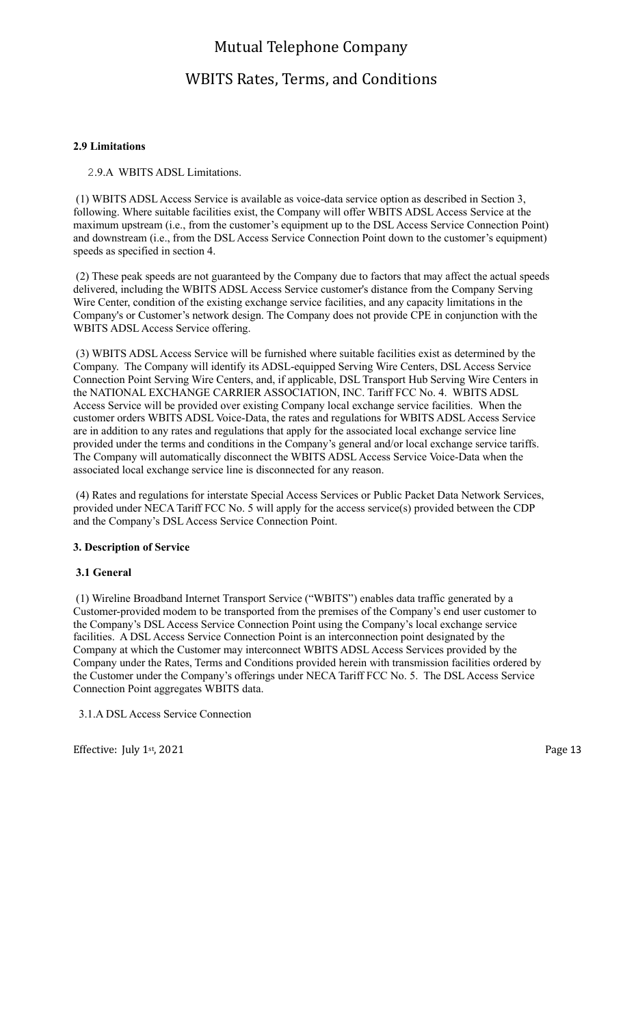## WBITS Rates, Terms, and Conditions

#### **2.9 Limitations**

2.9.A WBITS ADSL Limitations.

 (1) WBITS ADSL Access Service is available as voice-data service option as described in Section 3, following. Where suitable facilities exist, the Company will offer WBITS ADSL Access Service at the maximum upstream (i.e., from the customer's equipment up to the DSL Access Service Connection Point) and downstream (i.e., from the DSL Access Service Connection Point down to the customer's equipment) speeds as specified in section 4.

 (2) These peak speeds are not guaranteed by the Company due to factors that may affect the actual speeds delivered, including the WBITS ADSL Access Service customer's distance from the Company Serving Wire Center, condition of the existing exchange service facilities, and any capacity limitations in the Company's or Customer's network design. The Company does not provide CPE in conjunction with the WBITS ADSL Access Service offering.

 (3) WBITS ADSL Access Service will be furnished where suitable facilities exist as determined by the Company. The Company will identify its ADSL-equipped Serving Wire Centers, DSL Access Service Connection Point Serving Wire Centers, and, if applicable, DSL Transport Hub Serving Wire Centers in the NATIONAL EXCHANGE CARRIER ASSOCIATION, INC. Tariff FCC No. 4. WBITS ADSL Access Service will be provided over existing Company local exchange service facilities. When the customer orders WBITS ADSL Voice-Data, the rates and regulations for WBITS ADSL Access Service are in addition to any rates and regulations that apply for the associated local exchange service line provided under the terms and conditions in the Company's general and/or local exchange service tariffs. The Company will automatically disconnect the WBITS ADSL Access Service Voice-Data when the associated local exchange service line is disconnected for any reason.

 (4) Rates and regulations for interstate Special Access Services or Public Packet Data Network Services, provided under NECA Tariff FCC No. 5 will apply for the access service(s) provided between the CDP and the Company's DSL Access Service Connection Point.

#### **3. Description of Service**

#### **3.1 General**

 (1) Wireline Broadband Internet Transport Service ("WBITS") enables data traffic generated by a Customer-provided modem to be transported from the premises of the Company's end user customer to the Company's DSL Access Service Connection Point using the Company's local exchange service facilities. A DSL Access Service Connection Point is an interconnection point designated by the Company at which the Customer may interconnect WBITS ADSL Access Services provided by the Company under the Rates, Terms and Conditions provided herein with transmission facilities ordered by the Customer under the Company's offerings under NECA Tariff FCC No. 5. The DSL Access Service Connection Point aggregates WBITS data.

3.1.A DSL Access Service Connection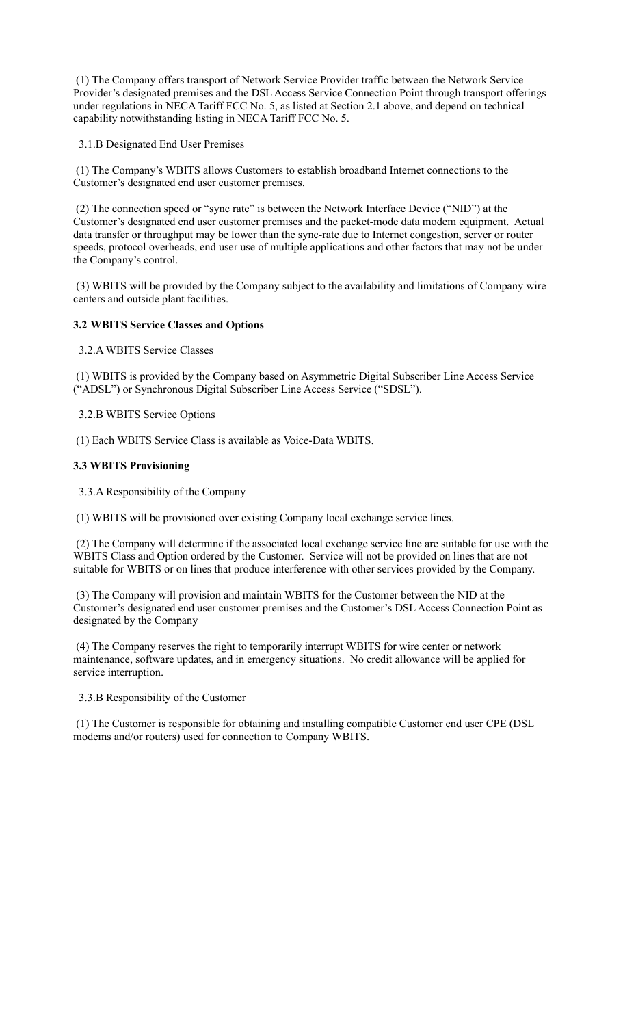(1) The Company offers transport of Network Service Provider traffic between the Network Service Provider's designated premises and the DSL Access Service Connection Point through transport offerings under regulations in NECA Tariff FCC No. 5, as listed at Section 2.1 above, and depend on technical capability notwithstanding listing in NECA Tariff FCC No. 5.

3.1.B Designated End User Premises

 (1) The Company's WBITS allows Customers to establish broadband Internet connections to the Customer's designated end user customer premises.

 (2) The connection speed or "sync rate" is between the Network Interface Device ("NID") at the Customer's designated end user customer premises and the packet-mode data modem equipment. Actual data transfer or throughput may be lower than the sync-rate due to Internet congestion, server or router speeds, protocol overheads, end user use of multiple applications and other factors that may not be under the Company's control.

 (3) WBITS will be provided by the Company subject to the availability and limitations of Company wire centers and outside plant facilities.

#### **3.2 WBITS Service Classes and Options**

3.2.A WBITS Service Classes

 (1) WBITS is provided by the Company based on Asymmetric Digital Subscriber Line Access Service ("ADSL") or Synchronous Digital Subscriber Line Access Service ("SDSL").

3.2.B WBITS Service Options

(1) Each WBITS Service Class is available as Voice-Data WBITS.

#### **3.3 WBITS Provisioning**

3.3.A Responsibility of the Company

(1) WBITS will be provisioned over existing Company local exchange service lines.

 (2) The Company will determine if the associated local exchange service line are suitable for use with the WBITS Class and Option ordered by the Customer. Service will not be provided on lines that are not suitable for WBITS or on lines that produce interference with other services provided by the Company.

 (3) The Company will provision and maintain WBITS for the Customer between the NID at the Customer's designated end user customer premises and the Customer's DSL Access Connection Point as designated by the Company

 (4) The Company reserves the right to temporarily interrupt WBITS for wire center or network maintenance, software updates, and in emergency situations. No credit allowance will be applied for service interruption.

#### 3.3.B Responsibility of the Customer

 (1) The Customer is responsible for obtaining and installing compatible Customer end user CPE (DSL modems and/or routers) used for connection to Company WBITS.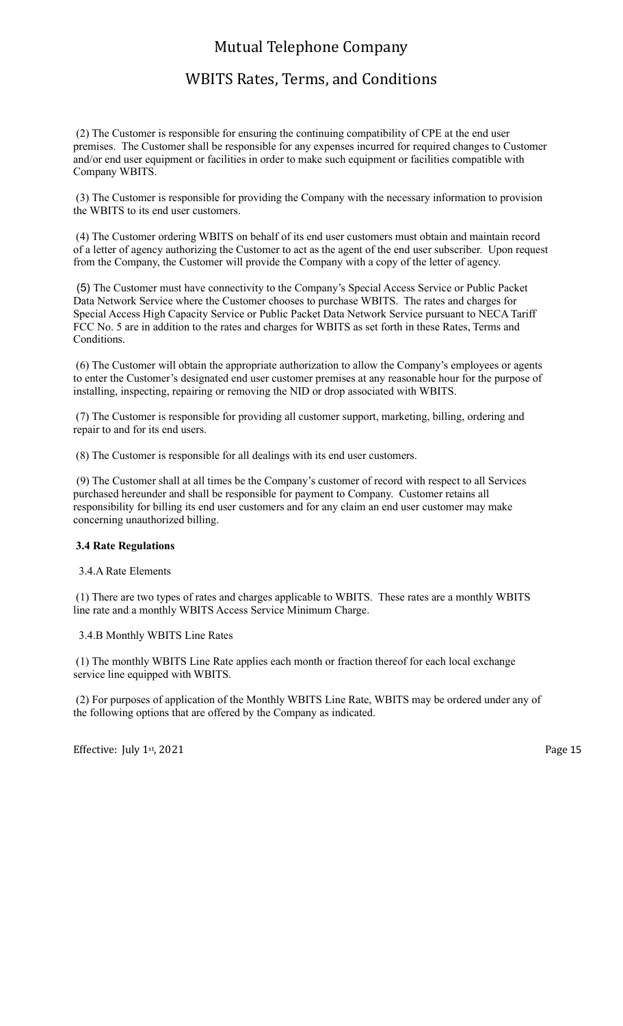# WBITS Rates, Terms, and Conditions

 (2) The Customer is responsible for ensuring the continuing compatibility of CPE at the end user premises. The Customer shall be responsible for any expenses incurred for required changes to Customer and/or end user equipment or facilities in order to make such equipment or facilities compatible with Company WBITS.

 (3) The Customer is responsible for providing the Company with the necessary information to provision the WBITS to its end user customers.

 (4) The Customer ordering WBITS on behalf of its end user customers must obtain and maintain record of a letter of agency authorizing the Customer to act as the agent of the end user subscriber. Upon request from the Company, the Customer will provide the Company with a copy of the letter of agency.

 (5) The Customer must have connectivity to the Company's Special Access Service or Public Packet Data Network Service where the Customer chooses to purchase WBITS. The rates and charges for Special Access High Capacity Service or Public Packet Data Network Service pursuant to NECA Tariff FCC No. 5 are in addition to the rates and charges for WBITS as set forth in these Rates, Terms and Conditions.

 (6) The Customer will obtain the appropriate authorization to allow the Company's employees or agents to enter the Customer's designated end user customer premises at any reasonable hour for the purpose of installing, inspecting, repairing or removing the NID or drop associated with WBITS.

 (7) The Customer is responsible for providing all customer support, marketing, billing, ordering and repair to and for its end users.

(8) The Customer is responsible for all dealings with its end user customers.

(9) The Customer shall at all times be the Company's customer of record with respect to all Services purchased hereunder and shall be responsible for payment to Company. Customer retains all responsibility for billing its end user customers and for any claim an end user customer may make concerning unauthorized billing.

#### **3.4 Rate Regulations**

3.4.A Rate Elements

 (1) There are two types of rates and charges applicable to WBITS. These rates are a monthly WBITS line rate and a monthly WBITS Access Service Minimum Charge.

#### 3.4.B Monthly WBITS Line Rates

 (1) The monthly WBITS Line Rate applies each month or fraction thereof for each local exchange service line equipped with WBITS.

 (2) For purposes of application of the Monthly WBITS Line Rate, WBITS may be ordered under any of the following options that are offered by the Company as indicated.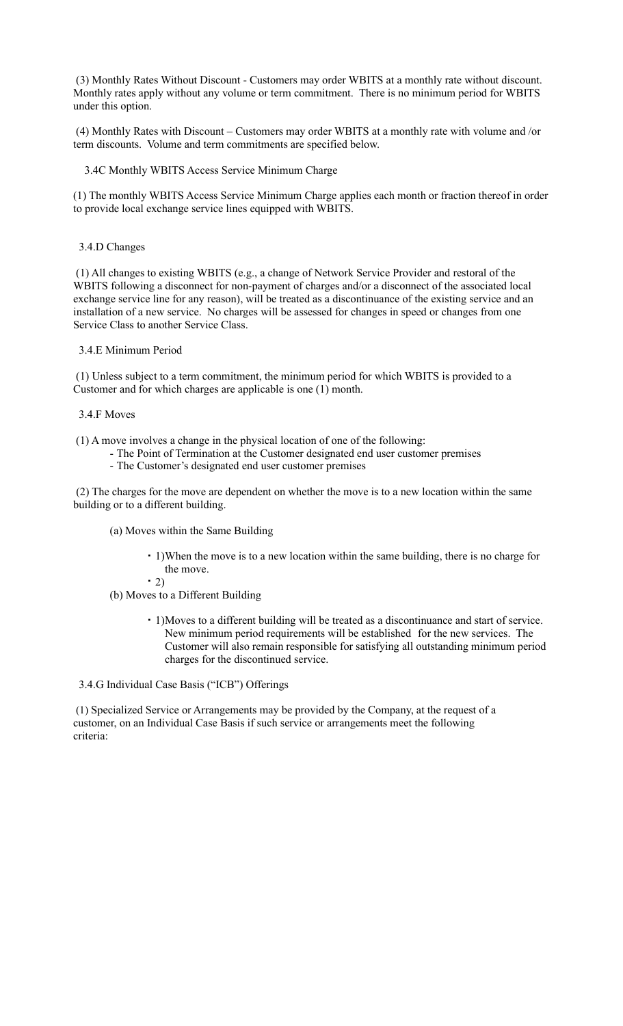(3) Monthly Rates Without Discount - Customers may order WBITS at a monthly rate without discount. Monthly rates apply without any volume or term commitment. There is no minimum period for WBITS under this option.

 (4) Monthly Rates with Discount – Customers may order WBITS at a monthly rate with volume and /or term discounts. Volume and term commitments are specified below.

3.4C Monthly WBITS Access Service Minimum Charge

(1) The monthly WBITS Access Service Minimum Charge applies each month or fraction thereof in order to provide local exchange service lines equipped with WBITS.

3.4.D Changes

 (1) All changes to existing WBITS (e.g., a change of Network Service Provider and restoral of the WBITS following a disconnect for non-payment of charges and/or a disconnect of the associated local exchange service line for any reason), will be treated as a discontinuance of the existing service and an installation of a new service. No charges will be assessed for changes in speed or changes from one Service Class to another Service Class.

3.4.E Minimum Period

 (1) Unless subject to a term commitment, the minimum period for which WBITS is provided to a Customer and for which charges are applicable is one (1) month.

- 3.4.F Moves
- (1) A move involves a change in the physical location of one of the following:
	- The Point of Termination at the Customer designated end user customer premises
	- The Customer's designated end user customer premises

 (2) The charges for the move are dependent on whether the move is to a new location within the same building or to a different building.

(a) Moves within the Same Building

- 1)When the move is to a new location within the same building, there is no charge for the move.
- $-2)$
- (b) Moves to a Different Building
	- 1)Moves to a different building will be treated as a discontinuance and start of service. New minimum period requirements will be established for the new services. The Customer will also remain responsible for satisfying all outstanding minimum period charges for the discontinued service.

3.4.G Individual Case Basis ("ICB") Offerings

 (1) Specialized Service or Arrangements may be provided by the Company, at the request of a customer, on an Individual Case Basis if such service or arrangements meet the following criteria: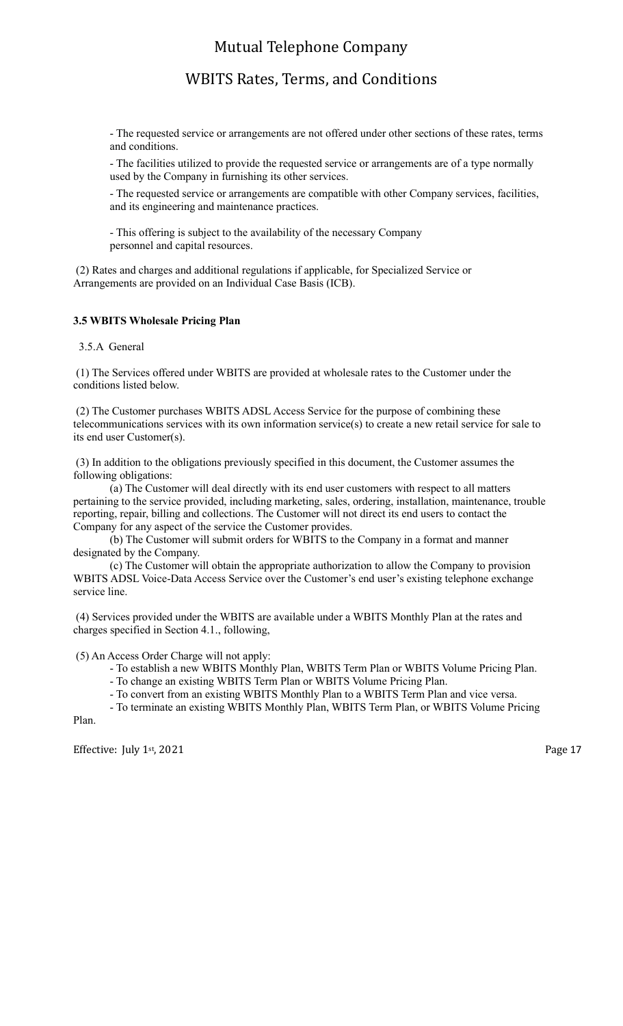## WBITS Rates, Terms, and Conditions

- The requested service or arrangements are not offered under other sections of these rates, terms and conditions.

- The facilities utilized to provide the requested service or arrangements are of a type normally used by the Company in furnishing its other services.

- The requested service or arrangements are compatible with other Company services, facilities, and its engineering and maintenance practices.

- This offering is subject to the availability of the necessary Company personnel and capital resources.

 (2) Rates and charges and additional regulations if applicable, for Specialized Service or Arrangements are provided on an Individual Case Basis (ICB).

#### **3.5 WBITS Wholesale Pricing Plan**

3.5.A General

 (1) The Services offered under WBITS are provided at wholesale rates to the Customer under the conditions listed below.

 (2) The Customer purchases WBITS ADSL Access Service for the purpose of combining these telecommunications services with its own information service(s) to create a new retail service for sale to its end user Customer(s).

 (3) In addition to the obligations previously specified in this document, the Customer assumes the following obligations:

 (a) The Customer will deal directly with its end user customers with respect to all matters pertaining to the service provided, including marketing, sales, ordering, installation, maintenance, trouble reporting, repair, billing and collections. The Customer will not direct its end users to contact the Company for any aspect of the service the Customer provides.

 (b) The Customer will submit orders for WBITS to the Company in a format and manner designated by the Company.

 (c) The Customer will obtain the appropriate authorization to allow the Company to provision WBITS ADSL Voice-Data Access Service over the Customer's end user's existing telephone exchange service line.

 (4) Services provided under the WBITS are available under a WBITS Monthly Plan at the rates and charges specified in Section 4.1., following,

(5) An Access Order Charge will not apply:

- To establish a new WBITS Monthly Plan, WBITS Term Plan or WBITS Volume Pricing Plan.
- To change an existing WBITS Term Plan or WBITS Volume Pricing Plan.

- To convert from an existing WBITS Monthly Plan to a WBITS Term Plan and vice versa.

- To terminate an existing WBITS Monthly Plan, WBITS Term Plan, or WBITS Volume Pricing

Effective: July 1<sup>st</sup>, 2021 Page 17

Plan.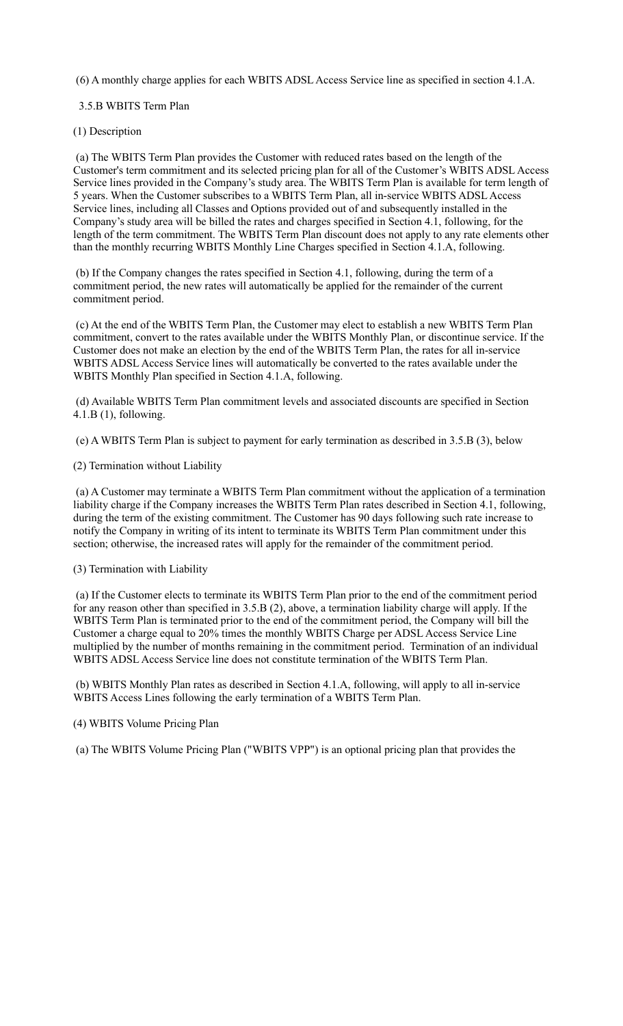(6) A monthly charge applies for each WBITS ADSL Access Service line as specified in section 4.1.A.

#### 3.5.B WBITS Term Plan

#### (1) Description

 (a) The WBITS Term Plan provides the Customer with reduced rates based on the length of the Customer's term commitment and its selected pricing plan for all of the Customer's WBITS ADSL Access Service lines provided in the Company's study area. The WBITS Term Plan is available for term length of 5 years. When the Customer subscribes to a WBITS Term Plan, all in-service WBITS ADSL Access Service lines, including all Classes and Options provided out of and subsequently installed in the Company's study area will be billed the rates and charges specified in Section 4.1, following, for the length of the term commitment. The WBITS Term Plan discount does not apply to any rate elements other than the monthly recurring WBITS Monthly Line Charges specified in Section 4.1.A, following.

 (b) If the Company changes the rates specified in Section 4.1, following, during the term of a commitment period, the new rates will automatically be applied for the remainder of the current commitment period.

 (c) At the end of the WBITS Term Plan, the Customer may elect to establish a new WBITS Term Plan commitment, convert to the rates available under the WBITS Monthly Plan, or discontinue service. If the Customer does not make an election by the end of the WBITS Term Plan, the rates for all in-service WBITS ADSL Access Service lines will automatically be converted to the rates available under the WBITS Monthly Plan specified in Section 4.1.A, following.

 (d) Available WBITS Term Plan commitment levels and associated discounts are specified in Section 4.1.B (1), following.

(e) A WBITS Term Plan is subject to payment for early termination as described in 3.5.B (3), below

(2) Termination without Liability

 (a) A Customer may terminate a WBITS Term Plan commitment without the application of a termination liability charge if the Company increases the WBITS Term Plan rates described in Section 4.1, following, during the term of the existing commitment. The Customer has 90 days following such rate increase to notify the Company in writing of its intent to terminate its WBITS Term Plan commitment under this section; otherwise, the increased rates will apply for the remainder of the commitment period.

#### (3) Termination with Liability

 (a) If the Customer elects to terminate its WBITS Term Plan prior to the end of the commitment period for any reason other than specified in 3.5.B (2), above, a termination liability charge will apply. If the WBITS Term Plan is terminated prior to the end of the commitment period, the Company will bill the Customer a charge equal to 20% times the monthly WBITS Charge per ADSL Access Service Line multiplied by the number of months remaining in the commitment period. Termination of an individual WBITS ADSL Access Service line does not constitute termination of the WBITS Term Plan.

 (b) WBITS Monthly Plan rates as described in Section 4.1.A, following, will apply to all in-service WBITS Access Lines following the early termination of a WBITS Term Plan.

#### (4) WBITS Volume Pricing Plan

(a) The WBITS Volume Pricing Plan ("WBITS VPP") is an optional pricing plan that provides the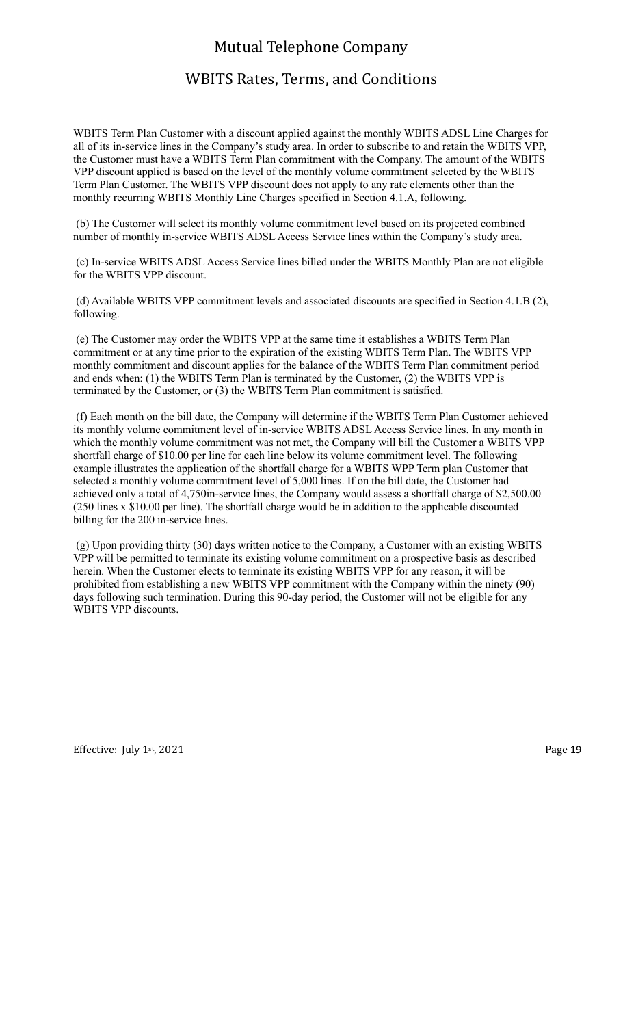## WBITS Rates, Terms, and Conditions

WBITS Term Plan Customer with a discount applied against the monthly WBITS ADSL Line Charges for all of its in-service lines in the Company's study area. In order to subscribe to and retain the WBITS VPP, the Customer must have a WBITS Term Plan commitment with the Company. The amount of the WBITS VPP discount applied is based on the level of the monthly volume commitment selected by the WBITS Term Plan Customer. The WBITS VPP discount does not apply to any rate elements other than the monthly recurring WBITS Monthly Line Charges specified in Section 4.1.A, following.

 (b) The Customer will select its monthly volume commitment level based on its projected combined number of monthly in-service WBITS ADSL Access Service lines within the Company's study area.

 (c) In-service WBITS ADSL Access Service lines billed under the WBITS Monthly Plan are not eligible for the WBITS VPP discount.

 (d) Available WBITS VPP commitment levels and associated discounts are specified in Section 4.1.B (2), following.

 (e) The Customer may order the WBITS VPP at the same time it establishes a WBITS Term Plan commitment or at any time prior to the expiration of the existing WBITS Term Plan. The WBITS VPP monthly commitment and discount applies for the balance of the WBITS Term Plan commitment period and ends when: (1) the WBITS Term Plan is terminated by the Customer, (2) the WBITS VPP is terminated by the Customer, or (3) the WBITS Term Plan commitment is satisfied.

 (f) Each month on the bill date, the Company will determine if the WBITS Term Plan Customer achieved its monthly volume commitment level of in-service WBITS ADSL Access Service lines. In any month in which the monthly volume commitment was not met, the Company will bill the Customer a WBITS VPP shortfall charge of \$10.00 per line for each line below its volume commitment level. The following example illustrates the application of the shortfall charge for a WBITS WPP Term plan Customer that selected a monthly volume commitment level of 5,000 lines. If on the bill date, the Customer had achieved only a total of 4,750in-service lines, the Company would assess a shortfall charge of \$2,500.00 (250 lines x \$10.00 per line). The shortfall charge would be in addition to the applicable discounted billing for the 200 in-service lines.

 (g) Upon providing thirty (30) days written notice to the Company, a Customer with an existing WBITS VPP will be permitted to terminate its existing volume commitment on a prospective basis as described herein. When the Customer elects to terminate its existing WBITS VPP for any reason, it will be prohibited from establishing a new WBITS VPP commitment with the Company within the ninety (90) days following such termination. During this 90-day period, the Customer will not be eligible for any WBITS VPP discounts.